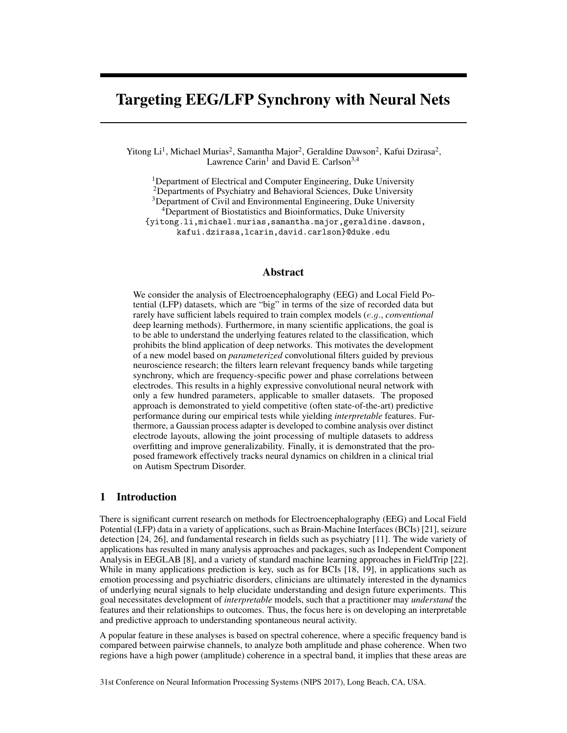# Targeting EEG/LFP Synchrony with Neural Nets

Yitong Li<sup>1</sup>, Michael Murias<sup>2</sup>, Samantha Major<sup>2</sup>, Geraldine Dawson<sup>2</sup>, Kafui Dzirasa<sup>2</sup>, Lawrence Carin<sup>1</sup> and David E. Carlson<sup>3,4</sup>

<sup>1</sup>Department of Electrical and Computer Engineering, Duke University 2Departments of Psychiatry and Behavioral Sciences, Duke University <sup>3</sup>Department of Civil and Environmental Engineering, Duke University 4Department of Biostatistics and Bioinformatics, Duke University {yitong.li,michael.murias,samantha.major,geraldine.dawson, kafui.dzirasa,lcarin,david.carlson}@duke.edu

## Abstract

We consider the analysis of Electroencephalography (EEG) and Local Field Potential (LFP) datasets, which are "big" in terms of the size of recorded data but rarely have sufficient labels required to train complex models (*e.g.*, *conventional* deep learning methods). Furthermore, in many scientific applications, the goal is to be able to understand the underlying features related to the classification, which prohibits the blind application of deep networks. This motivates the development of a new model based on *parameterized* convolutional filters guided by previous neuroscience research; the filters learn relevant frequency bands while targeting synchrony, which are frequency-specific power and phase correlations between electrodes. This results in a highly expressive convolutional neural network with only a few hundred parameters, applicable to smaller datasets. The proposed approach is demonstrated to yield competitive (often state-of-the-art) predictive performance during our empirical tests while yielding *interpretable* features. Furthermore, a Gaussian process adapter is developed to combine analysis over distinct electrode layouts, allowing the joint processing of multiple datasets to address overfitting and improve generalizability. Finally, it is demonstrated that the proposed framework effectively tracks neural dynamics on children in a clinical trial on Autism Spectrum Disorder.

#### 1 Introduction

There is significant current research on methods for Electroencephalography (EEG) and Local Field Potential (LFP) data in a variety of applications, such as Brain-Machine Interfaces (BCIs) [21], seizure detection [24, 26], and fundamental research in fields such as psychiatry [11]. The wide variety of applications has resulted in many analysis approaches and packages, such as Independent Component Analysis in EEGLAB [8], and a variety of standard machine learning approaches in FieldTrip [22]. While in many applications prediction is key, such as for BCIs [18, 19], in applications such as emotion processing and psychiatric disorders, clinicians are ultimately interested in the dynamics of underlying neural signals to help elucidate understanding and design future experiments. This goal necessitates development of *interpretable* models, such that a practitioner may *understand* the features and their relationships to outcomes. Thus, the focus here is on developing an interpretable and predictive approach to understanding spontaneous neural activity.

A popular feature in these analyses is based on spectral coherence, where a specific frequency band is compared between pairwise channels, to analyze both amplitude and phase coherence. When two regions have a high power (amplitude) coherence in a spectral band, it implies that these areas are

31st Conference on Neural Information Processing Systems (NIPS 2017), Long Beach, CA, USA.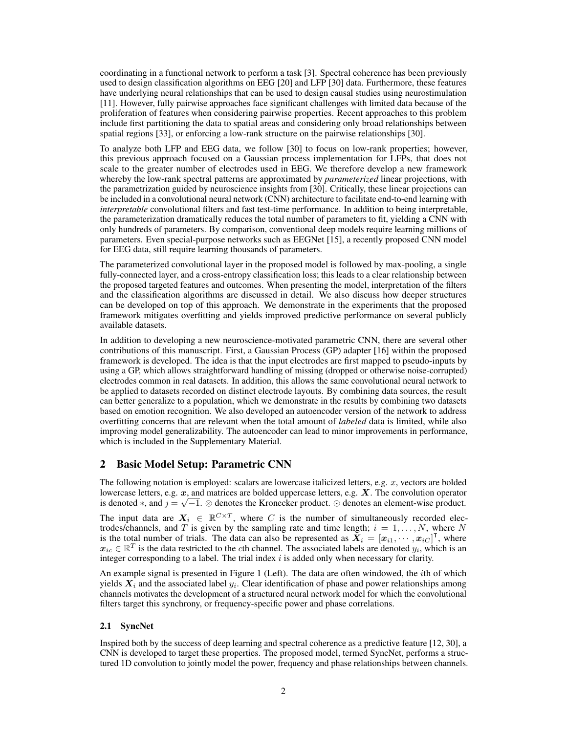coordinating in a functional network to perform a task [3]. Spectral coherence has been previously used to design classification algorithms on EEG [20] and LFP [30] data. Furthermore, these features have underlying neural relationships that can be used to design causal studies using neurostimulation [11]. However, fully pairwise approaches face significant challenges with limited data because of the proliferation of features when considering pairwise properties. Recent approaches to this problem include first partitioning the data to spatial areas and considering only broad relationships between spatial regions [33], or enforcing a low-rank structure on the pairwise relationships [30].

To analyze both LFP and EEG data, we follow [30] to focus on low-rank properties; however, this previous approach focused on a Gaussian process implementation for LFPs, that does not scale to the greater number of electrodes used in EEG. We therefore develop a new framework whereby the low-rank spectral patterns are approximated by *parameterized* linear projections, with the parametrization guided by neuroscience insights from [30]. Critically, these linear projections can be included in a convolutional neural network (CNN) architecture to facilitate end-to-end learning with *interpretable* convolutional filters and fast test-time performance. In addition to being interpretable, the parameterization dramatically reduces the total number of parameters to fit, yielding a CNN with only hundreds of parameters. By comparison, conventional deep models require learning millions of parameters. Even special-purpose networks such as EEGNet [15], a recently proposed CNN model for EEG data, still require learning thousands of parameters.

The parameterized convolutional layer in the proposed model is followed by max-pooling, a single fully-connected layer, and a cross-entropy classification loss; this leads to a clear relationship between the proposed targeted features and outcomes. When presenting the model, interpretation of the filters and the classification algorithms are discussed in detail. We also discuss how deeper structures can be developed on top of this approach. We demonstrate in the experiments that the proposed framework mitigates overfitting and yields improved predictive performance on several publicly available datasets.

In addition to developing a new neuroscience-motivated parametric CNN, there are several other contributions of this manuscript. First, a Gaussian Process (GP) adapter [16] within the proposed framework is developed. The idea is that the input electrodes are first mapped to pseudo-inputs by using a GP, which allows straightforward handling of missing (dropped or otherwise noise-corrupted) electrodes common in real datasets. In addition, this allows the same convolutional neural network to be applied to datasets recorded on distinct electrode layouts. By combining data sources, the result can better generalize to a population, which we demonstrate in the results by combining two datasets based on emotion recognition. We also developed an autoencoder version of the network to address overfitting concerns that are relevant when the total amount of *labeled* data is limited, while also improving model generalizability. The autoencoder can lead to minor improvements in performance, which is included in the Supplementary Material.

# 2 Basic Model Setup: Parametric CNN

The following notation is employed: scalars are lowercase italicized letters, e.g. *x*, vectors are bolded lowercase letters, e.g. *x*, and matrices are bolded uppercase letters, e.g. *X*. The convolution operator is denoted  $\ast$ , and  $j = \sqrt{-1}$ .  $\otimes$  denotes the Kronecker product.  $\odot$  denotes an element-wise product.

The input data are  $X_i \in \mathbb{R}^{C \times T}$ , where *C* is the number of simultaneously recorded electrodes/channels, and *T* is given by the sampling rate and time length;  $i = 1, \ldots, N$ , where N is the total number of trials. The data can also be represented as  $\mathbf{X}_i = [\mathbf{x}_{i1}, \cdots, \mathbf{x}_{iC}]^{\mathsf{T}}$ , where  $x_{ic} \in \mathbb{R}^T$  is the data restricted to the *c*th channel. The associated labels are denoted  $y_i$ , which is an integer corresponding to a label. The trial index *i* is added only when necessary for clarity.

An example signal is presented in Figure 1 (Left). The data are often windowed, the *i*th of which yields  $X_i$  and the associated label  $y_i$ . Clear identification of phase and power relationships among channels motivates the development of a structured neural network model for which the convolutional filters target this synchrony, or frequency-specific power and phase correlations.

# 2.1 SyncNet

Inspired both by the success of deep learning and spectral coherence as a predictive feature [12, 30], a CNN is developed to target these properties. The proposed model, termed SyncNet, performs a structured 1D convolution to jointly model the power, frequency and phase relationships between channels.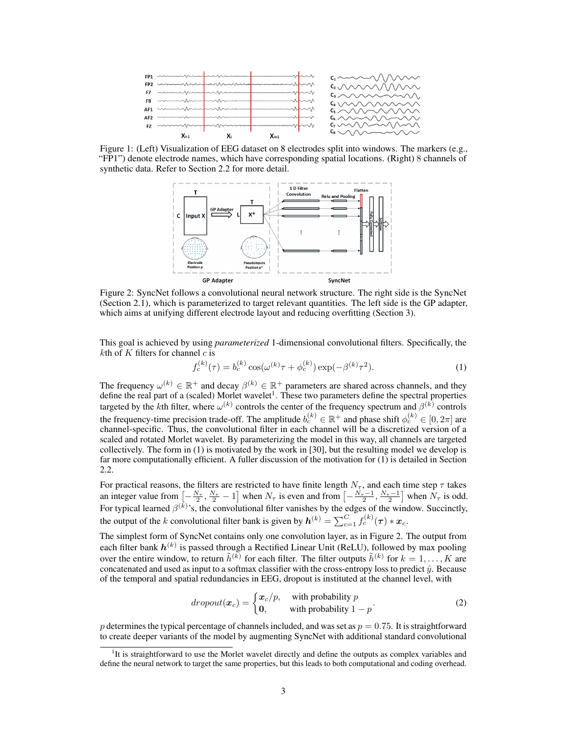

Figure 1: (Left) Visualization of EEG dataset on 8 electrodes split into windows. The markers (e.g., "FP1") denote electrode names, which have corresponding spatial locations. (Right) 8 channels of synthetic data. Refer to Section 2.2 for more detail.



Figure 2: SyncNet follows a convolutional neural network structure. The right side is the SyncNet (Section 2.1), which is parameterized to target relevant quantities. The left side is the GP adapter, which aims at unifying different electrode layout and reducing overfitting (Section 3).

This goal is achieved by using *parameterized* 1-dimensional convolutional filters. Specifically, the *k*th of *K* filters for channel *c* is

$$
f_c^{(k)}(\tau) = b_c^{(k)} \cos(\omega^{(k)} \tau + \phi_c^{(k)}) \exp(-\beta^{(k)} \tau^2).
$$
 (1)

The frequency  $\omega^{(k)} \in \mathbb{R}^+$  and decay  $\beta^{(k)} \in \mathbb{R}^+$  parameters are shared across channels, and they define the real part of a (scaled) Morlet wavelet<sup>1</sup>. These two parameters define the spectral properties targeted by the *k*th filter, where  $\omega^{(k)}$  controls the center of the frequency spectrum and  $\beta^{(k)}$  controls the frequency-time precision trade-off. The amplitude  $b_c^{(k)} \in \mathbb{R}^+$  and phase shift  $\phi_c^{(k)} \in [0, 2\pi]$  are channel-specific. Thus, the convolutional filter in each channel will be a discretized version of a scaled and rotated Morlet wavelet. By parameterizing the model in this way, all channels are targeted collectively. The form in (1) is motivated by the work in [30], but the resulting model we develop is far more computationally efficient. A fuller discussion of the motivation for (1) is detailed in Section 2.2.

For practical reasons, the filters are restricted to have finite length  $N_\tau$ , and each time step  $\tau$  takes an integer value from  $\left[-\frac{N_{\tau}}{2}, \frac{N_{\tau}}{2} - 1\right]$  when  $N_{\tau}$  is even and from  $\left[-\frac{N_{\tau}-1}{2}, \frac{N_{\tau}-1}{2}\right]$  when  $N_{\tau}$  is odd. For typical learned  $\beta^{(k)}$ 's, the convolutional filter vanishes by the edges of the window. Succinctly, the output of the *k* convolutional filter bank is given by  $h^{(k)} = \sum_{c=1}^{C} f_c^{(k)}(\tau) * x_c$ .

The simplest form of SyncNet contains only one convolution layer, as in Figure 2. The output from each filter bank  $h^{(k)}$  is passed through a Rectified Linear Unit (ReLU), followed by max pooling over the entire window, to return  $\tilde{h}^{(k)}$  for each filter. The filter outputs  $\tilde{h}^{(k)}$  for  $k = 1, \ldots, K$  are concatenated and used as input to a softmax classifier with the cross-entropy loss to predict  $\hat{y}$ . Because of the temporal and spatial redundancies in EEG, dropout is instituted at the channel level, with

$$
dropout(\boldsymbol{x}_c) = \begin{cases} \boldsymbol{x}_c/p, & \text{with probability } p \\ \mathbf{0}, & \text{with probability } 1 - p \end{cases}
$$
 (2)

*p* determines the typical percentage of channels included, and was set as *p* = 0*.*75. It is straightforward to create deeper variants of the model by augmenting SyncNet with additional standard convolutional

<sup>&</sup>lt;sup>1</sup>It is straightforward to use the Morlet wavelet directly and define the outputs as complex variables and define the neural network to target the same properties, but this leads to both computational and coding overhead.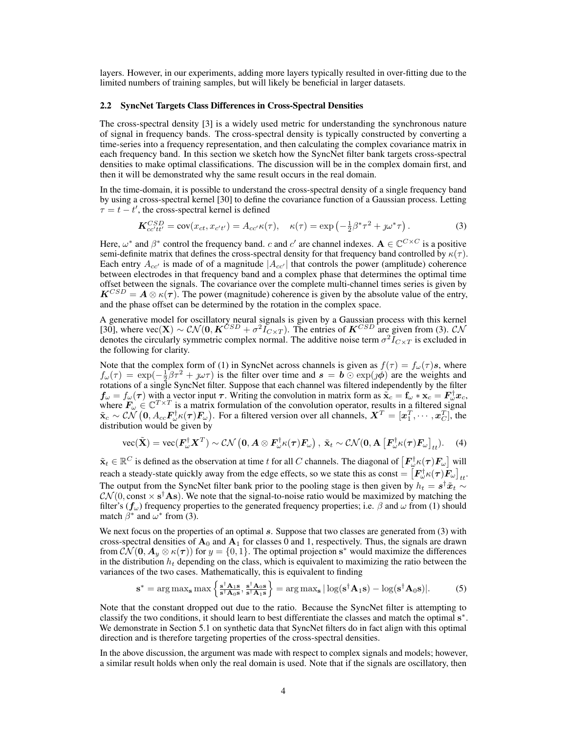layers. However, in our experiments, adding more layers typically resulted in over-fitting due to the limited numbers of training samples, but will likely be beneficial in larger datasets.

#### 2.2 SyncNet Targets Class Differences in Cross-Spectral Densities

The cross-spectral density [3] is a widely used metric for understanding the synchronous nature of signal in frequency bands. The cross-spectral density is typically constructed by converting a time-series into a frequency representation, and then calculating the complex covariance matrix in each frequency band. In this section we sketch how the SyncNet filter bank targets cross-spectral densities to make optimal classifications. The discussion will be in the complex domain first, and then it will be demonstrated why the same result occurs in the real domain.

In the time-domain, it is possible to understand the cross-spectral density of a single frequency band by using a cross-spectral kernel [30] to define the covariance function of a Gaussian process. Letting  $\tau = t - t'$ , the cross-spectral kernel is defined

$$
\mathbf{K}_{cc'tt'}^{CSD} = \text{cov}(x_{ct}, x_{c't'}) = A_{cc'} \kappa(\tau), \quad \kappa(\tau) = \exp\left(-\frac{1}{2}\beta^* \tau^2 + \jmath \omega^* \tau\right). \tag{3}
$$

Here,  $\omega^*$  and  $\beta^*$  control the frequency band. *c* and *c'* are channel indexes.  $\mathbf{A} \in \mathbb{C}^{C \times C}$  is a positive semi-definite matrix that defines the cross-spectral density for that frequency band controlled by  $\kappa(\tau)$ . Each entry  $A_{cc'}$  is made of of a magnitude  $|A_{cc'}|$  that controls the power (amplitude) coherence between electrodes in that frequency band and a complex phase that determines the optimal time offset between the signals. The covariance over the complete multi-channel times series is given by  $K^{CSD} = A \otimes \kappa(\tau)$ . The power (magnitude) coherence is given by the absolute value of the entry, and the phase offset can be determined by the rotation in the complex space.

A generative model for oscillatory neural signals is given by a Gaussian process with this kernel [30], where  $\text{vec}(\mathbf{X}) \sim \mathcal{CN}(\mathbf{0}, \mathbf{K}^{CSD} + \sigma^2 I_{C \times T})$ . The entries of  $\mathbf{K}^{CSD}$  are given from (3). *CN* denotes the circularly symmetric complex normal. The additive noise term  $\sigma^2 \bar{I}_{C \times T}$  is excluded in the following for clarity.

Note that the complex form of (1) in SyncNet across channels is given as  $f(\tau) = f_{\omega}(\tau)s$ , where  $f_{\omega}(\tau) = \exp(-\frac{1}{2}\beta\tau^2 + j\omega\tau)$  is the filter over time and  $s = b \odot \exp(j\phi)$  are the weights and rotations of a single SyncNet filter. Suppose that each channel was filtered independently by the filter  $f_{\omega} = f_{\omega}(\tau)$  with a vector input  $\tau$ . Writing the convolution in matrix form as  $\tilde{\mathbf{x}}_c = \mathbf{f}_{\omega} * \mathbf{x}_c = \mathbf{F}_{\omega}^{\dagger} \mathbf{x}_c$ , where  $F_{\omega} \in \mathbb{C}^{T \times T}$  is a matrix formulation of the convolution operator, results in a filtered signal  $\tilde{\mathbf{x}}_c \sim \mathcal{CN}\left(\mathbf{0}, A_{cc} \mathbf{F}_\omega^\dagger \kappa(\tau) \mathbf{F}_\omega\right)$ . For a filtered version over all channels,  $\mathbf{X}^T = [\mathbf{x}_1^T, \cdots, \mathbf{x}_C^T]$ , the distribution would be given by

vec
$$
(\tilde{\mathbf{X}})
$$
 = vec $(\mathbf{F}_{\omega}^{\dagger} \mathbf{X}^T)$  ~  $\mathcal{CN}\left(\mathbf{0}, \mathbf{A} \otimes \mathbf{F}_{\omega}^{\dagger} \kappa(\boldsymbol{\tau}) \mathbf{F}_{\omega}\right)$ ,  $\tilde{\mathbf{x}}_t \sim \mathcal{CN}(\mathbf{0}, \mathbf{A}\left[\mathbf{F}_{\omega}^{\dagger} \kappa(\boldsymbol{\tau}) \mathbf{F}_{\omega}\right]_{tt})$ . (4)

 $\tilde{\mathbf{x}}_t \in \mathbb{R}^C$  is defined as the observation at time *t* for all *C* channels. The diagonal of  $\left[F_{\omega}^{\dagger} \kappa(\tau) F_{\omega}\right]$  will reach a steady-state quickly away from the edge effects, so we state this as const =  $[F_{\omega}^{\dagger}\kappa(\tau)\vec{F}_{\omega}]_{tt}$ . The output from the SyncNet filter bank prior to the pooling stage is then given by  $h_t = s^\dagger \tilde{x}_t \sim$  $\mathcal{CN}(0, \text{const} \times \mathbf{s}^{\dagger} \mathbf{A} \mathbf{s})$ . We note that the signal-to-noise ratio would be maximized by matching the filter's  $(f_\omega)$  frequency properties to the generated frequency properties; i.e.  $\beta$  and  $\omega$  from (1) should match  $\beta^*$  and  $\omega^*$  from (3).

We next focus on the properties of an optimal *s*. Suppose that two classes are generated from (3) with cross-spectral densities of  $A_0$  and  $A_1$  for classes 0 and 1, respectively. Thus, the signals are drawn from  $\mathcal{CN}(\mathbf{0}, \mathbf{A}_y \otimes \kappa(\tau))$  for  $y = \{0, 1\}$ . The optimal projection s<sup>\*</sup> would maximize the differences in the distribution  $h_t$  depending on the class, which is equivalent to maximizing the ratio between the variances of the two cases. Mathematically, this is equivalent to finding

$$
\mathbf{s}^* = \arg \max_{\mathbf{s}} \max \left\{ \frac{\mathbf{s}^\dagger \mathbf{A}_{1} \mathbf{s}}{\mathbf{s}^\dagger \mathbf{A}_{0} \mathbf{s}}, \frac{\mathbf{s}^\dagger \mathbf{A}_{0} \mathbf{s}}{\mathbf{s}^\dagger \mathbf{A}_{1} \mathbf{s}} \right\} = \arg \max_{\mathbf{s}} |\log (\mathbf{s}^\dagger \mathbf{A}_{1} \mathbf{s}) - \log (\mathbf{s}^\dagger \mathbf{A}_{0} \mathbf{s})|.
$$
 (5)

Note that the constant dropped out due to the ratio. Because the SyncNet filter is attempting to classify the two conditions, it should learn to best differentiate the classes and match the optimal s<sup>\*</sup>. We demonstrate in Section 5.1 on synthetic data that SyncNet filters do in fact align with this optimal direction and is therefore targeting properties of the cross-spectral densities.

In the above discussion, the argument was made with respect to complex signals and models; however, a similar result holds when only the real domain is used. Note that if the signals are oscillatory, then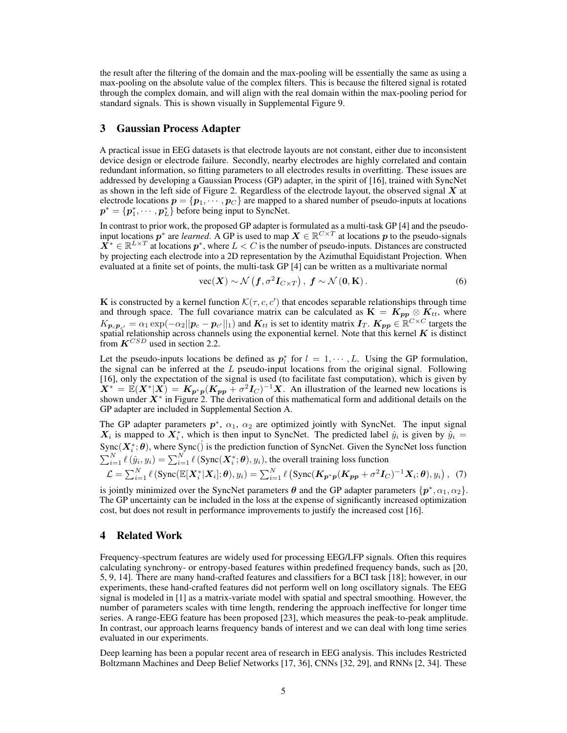the result after the filtering of the domain and the max-pooling will be essentially the same as using a max-pooling on the absolute value of the complex filters. This is because the filtered signal is rotated through the complex domain, and will align with the real domain within the max-pooling period for standard signals. This is shown visually in Supplemental Figure 9.

### 3 Gaussian Process Adapter

A practical issue in EEG datasets is that electrode layouts are not constant, either due to inconsistent device design or electrode failure. Secondly, nearby electrodes are highly correlated and contain redundant information, so fitting parameters to all electrodes results in overfitting. These issues are addressed by developing a Gaussian Process (GP) adapter, in the spirit of [16], trained with SyncNet as shown in the left side of Figure 2. Regardless of the electrode layout, the observed signal *X* at electrode locations  $p = \{p_1, \dots, p_C\}$  are mapped to a shared number of pseudo-inputs at locations  $p^* = \{p_1^*, \dots, p_L^*\}$  before being input to SyncNet.

In contrast to prior work, the proposed GP adapter is formulated as a multi-task GP [4] and the pseudoinput locations  $p^*$  are *learned*. A GP is used to map  $X \in \mathbb{R}^{C \times T}$  at locations p to the pseudo-signals  $X^* \in \mathbb{R}^{L \times T}$  at locations  $p^*$ , where  $L < C$  is the number of pseudo-inputs. Distances are constructed by projecting each electrode into a 2D representation by the Azimuthal Equidistant Projection. When evaluated at a finite set of points, the multi-task GP [4] can be written as a multivariate normal

$$
\text{vec}(\boldsymbol{X}) \sim \mathcal{N}\left(\boldsymbol{f}, \sigma^2 \boldsymbol{I}_{C \times T}\right), \ \boldsymbol{f} \sim \mathcal{N}\left(\boldsymbol{0}, \mathbf{K}\right). \tag{6}
$$

K is constructed by a kernel function  $\mathcal{K}(\tau, c, c')$  that encodes separable relationships through time and through space. The full covariance matrix can be calculated as  $\mathbf{K} = \mathbf{K}_{pp} \otimes \mathbf{K}_{tt}$ , where  $K_{\boldsymbol{p}_c \boldsymbol{p}_{c'}} = \alpha_1 \exp(-\alpha_2 || \boldsymbol{p}_c - \boldsymbol{p}_{c'} ||_1)$  and  $K_{tt}$  is set to identity matrix  $\boldsymbol{I}_T$ .  $K_{\boldsymbol{p}\boldsymbol{p}} \in \mathbb{R}^{C \times C}$  targets the spatial relationship across channels using the exponential kernel. Note that this kernel  $K$  is distinct from *KCSD* used in section 2.2.

Let the pseudo-inputs locations be defined as  $p_l^*$  for  $l = 1, \dots, L$ . Using the GP formulation, the signal can be inferred at the *L* pseudo-input locations from the original signal. Following [16], only the expectation of the signal is used (to facilitate fast computation), which is given by  $X^* = \mathbb{E}(X^*|X) = K_{p^*p}(K_{pp} + \sigma^2 I_C)^{-1}X$ . An illustration of the learned new locations is shown under  $X^*$  in Figure 2. The derivation of this mathematical form and additional details on the GP adapter are included in Supplemental Section A.

The GP adapter parameters  $p^*$ ,  $\alpha_1$ ,  $\alpha_2$  are optimized jointly with SyncNet. The input signal  $X_i$  is mapped to  $X_i^*$ , which is then input to SyncNet. The predicted label  $\hat{y}_i$  is given by  $\hat{y}_i =$  $\text{Symc}(X_i^*; \theta)$ , where  $\text{Symc}(X_i)$  is the prediction function of SyncNet. Given the SyncNet loss function  $\sum_{i=1}^{N} \ell(\hat{y}_i, y_i) = \sum_{i=1}^{N} \ell(Sync(X_i^*; \theta), y_i)$ , the overall training loss function

$$
\mathcal{L} = \sum_{i=1}^{N} \ell \left( \text{Sync}(\mathbb{E}[\boldsymbol{X}_i^* | \boldsymbol{X}_i]; \boldsymbol{\theta}), y_i \right) = \sum_{i=1}^{N} \ell \left( \text{Sync}(\boldsymbol{K}_{\boldsymbol{p}^* \boldsymbol{p}}(\boldsymbol{K}_{\boldsymbol{p} \boldsymbol{p}} + \sigma^2 \boldsymbol{I}_C)^{-1} \boldsymbol{X}_i; \boldsymbol{\theta}), y_i \right), \tag{7}
$$

is jointly minimized over the SyncNet parameters  $\theta$  and the GP adapter parameters  $\{p^*, \alpha_1, \alpha_2\}$ . The GP uncertainty can be included in the loss at the expense of significantly increased optimization cost, but does not result in performance improvements to justify the increased cost [16].

### 4 Related Work

Frequency-spectrum features are widely used for processing EEG/LFP signals. Often this requires calculating synchrony- or entropy-based features within predefined frequency bands, such as [20, 5, 9, 14]. There are many hand-crafted features and classifiers for a BCI task [18]; however, in our experiments, these hand-crafted features did not perform well on long oscillatory signals. The EEG signal is modeled in [1] as a matrix-variate model with spatial and spectral smoothing. However, the number of parameters scales with time length, rendering the approach ineffective for longer time series. A range-EEG feature has been proposed [23], which measures the peak-to-peak amplitude. In contrast, our approach learns frequency bands of interest and we can deal with long time series evaluated in our experiments.

Deep learning has been a popular recent area of research in EEG analysis. This includes Restricted Boltzmann Machines and Deep Belief Networks [17, 36], CNNs [32, 29], and RNNs [2, 34]. These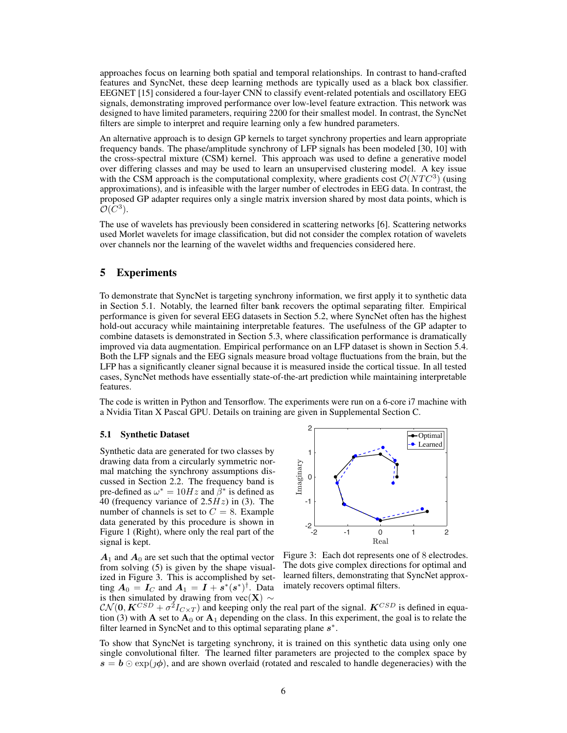approaches focus on learning both spatial and temporal relationships. In contrast to hand-crafted features and SyncNet, these deep learning methods are typically used as a black box classifier. EEGNET [15] considered a four-layer CNN to classify event-related potentials and oscillatory EEG signals, demonstrating improved performance over low-level feature extraction. This network was designed to have limited parameters, requiring 2200 for their smallest model. In contrast, the SyncNet filters are simple to interpret and require learning only a few hundred parameters.

An alternative approach is to design GP kernels to target synchrony properties and learn appropriate frequency bands. The phase/amplitude synchrony of LFP signals has been modeled [30, 10] with the cross-spectral mixture (CSM) kernel. This approach was used to define a generative model over differing classes and may be used to learn an unsupervised clustering model. A key issue with the CSM approach is the computational complexity, where gradients cost  $\mathcal{O}(NTC^3)$  (using approximations), and is infeasible with the larger number of electrodes in EEG data. In contrast, the proposed GP adapter requires only a single matrix inversion shared by most data points, which is  $\mathcal{O}(\bar{C}^3)$ .

The use of wavelets has previously been considered in scattering networks [6]. Scattering networks used Morlet wavelets for image classification, but did not consider the complex rotation of wavelets over channels nor the learning of the wavelet widths and frequencies considered here.

# 5 Experiments

To demonstrate that SyncNet is targeting synchrony information, we first apply it to synthetic data in Section 5.1. Notably, the learned filter bank recovers the optimal separating filter. Empirical performance is given for several EEG datasets in Section 5.2, where SyncNet often has the highest hold-out accuracy while maintaining interpretable features. The usefulness of the GP adapter to combine datasets is demonstrated in Section 5.3, where classification performance is dramatically improved via data augmentation. Empirical performance on an LFP dataset is shown in Section 5.4. Both the LFP signals and the EEG signals measure broad voltage fluctuations from the brain, but the LFP has a significantly cleaner signal because it is measured inside the cortical tissue. In all tested cases, SyncNet methods have essentially state-of-the-art prediction while maintaining interpretable features.

The code is written in Python and Tensorflow. The experiments were run on a 6-core i7 machine with a Nvidia Titan X Pascal GPU. Details on training are given in Supplemental Section C.

#### 5.1 Synthetic Dataset

Synthetic data are generated for two classes by drawing data from a circularly symmetric normal matching the synchrony assumptions discussed in Section 2.2. The frequency band is pre-defined as  $\omega^* = 10Hz$  and  $\beta^*$  is defined as 40 (frequency variance of 2.5*Hz*) in (3). The number of channels is set to  $C = 8$ . Example data generated by this procedure is shown in Figure 1 (Right), where only the real part of the signal is kept.

 $A_1$  and  $A_0$  are set such that the optimal vector from solving (5) is given by the shape visualized in Figure 3. This is accomplished by setting  $A_0 = I_C$  and  $A_1 = I + s^*(s^*)^{\dagger}$ . Data is then simulated by drawing from  $vec(\mathbf{X}) \sim$ 



Figure 3: Each dot represents one of 8 electrodes. The dots give complex directions for optimal and learned filters, demonstrating that SyncNet approximately recovers optimal filters.

 $\mathcal{CN}(\mathbf{0}, \mathbf{K}^{CSD} + \sigma^2 I_{C \times T})$  and keeping only the real part of the signal.  $\mathbf{K}^{CSD}$  is defined in equation (3) with A set to  $A_0$  or  $A_1$  depending on the class. In this experiment, the goal is to relate the filter learned in SyncNet and to this optimal separating plane  $s^*$ .

To show that SyncNet is targeting synchrony, it is trained on this synthetic data using only one single convolutional filter. The learned filter parameters are projected to the complex space by  $s = b \odot \exp(j\phi)$ , and are shown overlaid (rotated and rescaled to handle degeneracies) with the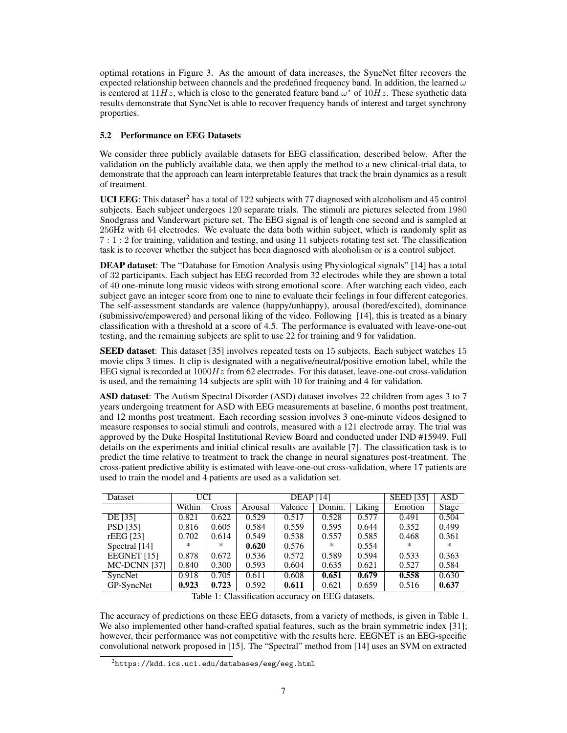optimal rotations in Figure 3. As the amount of data increases, the SyncNet filter recovers the expected relationship between channels and the predefined frequency band. In addition, the learned  $\omega$ is centered at  $11Hz$ , which is close to the generated feature band  $\omega^*$  of  $10Hz$ . These synthetic data results demonstrate that SyncNet is able to recover frequency bands of interest and target synchrony properties.

#### 5.2 Performance on EEG Datasets

We consider three publicly available datasets for EEG classification, described below. After the validation on the publicly available data, we then apply the method to a new clinical-trial data, to demonstrate that the approach can learn interpretable features that track the brain dynamics as a result of treatment.

UCI EEG: This dataset<sup>2</sup> has a total of 122 subjects with 77 diagnosed with alcoholism and 45 control subjects. Each subject undergoes 120 separate trials. The stimuli are pictures selected from 1980 Snodgrass and Vanderwart picture set. The EEG signal is of length one second and is sampled at 256Hz with 64 electrodes. We evaluate the data both within subject, which is randomly split as 7:1:2 for training, validation and testing, and using 11 subjects rotating test set. The classification task is to recover whether the subject has been diagnosed with alcoholism or is a control subject.

DEAP dataset: The "Database for Emotion Analysis using Physiological signals" [14] has a total of 32 participants. Each subject has EEG recorded from 32 electrodes while they are shown a total of 40 one-minute long music videos with strong emotional score. After watching each video, each subject gave an integer score from one to nine to evaluate their feelings in four different categories. The self-assessment standards are valence (happy/unhappy), arousal (bored/excited), dominance (submissive/empowered) and personal liking of the video. Following [14], this is treated as a binary classification with a threshold at a score of 4.5. The performance is evaluated with leave-one-out testing, and the remaining subjects are split to use 22 for training and 9 for validation.

SEED dataset: This dataset [35] involves repeated tests on 15 subjects. Each subject watches 15 movie clips 3 times. It clip is designated with a negative/neutral/positive emotion label, while the EEG signal is recorded at 1000*Hz* from 62 electrodes. For this dataset, leave-one-out cross-validation is used, and the remaining 14 subjects are split with 10 for training and 4 for validation.

ASD dataset: The Autism Spectral Disorder (ASD) dataset involves 22 children from ages 3 to 7 years undergoing treatment for ASD with EEG measurements at baseline, 6 months post treatment, and 12 months post treatment. Each recording session involves 3 one-minute videos designed to measure responses to social stimuli and controls, measured with a 121 electrode array. The trial was approved by the Duke Hospital Institutional Review Board and conducted under IND #15949. Full details on the experiments and initial clinical results are available [7]. The classification task is to predict the time relative to treatment to track the change in neural signatures post-treatment. The cross-patient predictive ability is estimated with leave-one-out cross-validation, where 17 patients are used to train the model and 4 patients are used as a validation set.

| Dataset         | UCI    |        | <b>DEAP</b> [14] |         |        |        | <b>SEED</b> [35] | <b>ASD</b> |
|-----------------|--------|--------|------------------|---------|--------|--------|------------------|------------|
|                 | Within | Cross  | Arousal          | Valence | Domin. | Liking | Emotion          | Stage      |
| DE [35]         | 0.821  | 0.622  | 0.529            | 0.517   | 0.528  | 0.577  | 0.491            | 0.504      |
| <b>PSD</b> [35] | 0.816  | 0.605  | 0.584            | 0.559   | 0.595  | 0.644  | 0.352            | 0.499      |
| rEEG [23]       | 0.702  | 0.614  | 0.549            | 0.538   | 0.557  | 0.585  | 0.468            | 0.361      |
| Spectral [14]   | *.     | $\ast$ | 0.620            | 0.576   | $\ast$ | 0.554  | ×.               | $\ast$     |
| EEGNET [15]     | 0.878  | 0.672  | 0.536            | 0.572   | 0.589  | 0.594  | 0.533            | 0.363      |
| MC-DCNN [37]    | 0.840  | 0.300  | 0.593            | 0.604   | 0.635  | 0.621  | 0.527            | 0.584      |
| SyncNet         | 0.918  | 0.705  | 0.611            | 0.608   | 0.651  | 0.679  | 0.558            | 0.630      |
| GP-SyncNet      | 0.923  | 0.723  | 0.592            | 0.611   | 0.621  | 0.659  | 0.516            | 0.637      |

Table 1: Classification accuracy on EEG datasets.

The accuracy of predictions on these EEG datasets, from a variety of methods, is given in Table 1. We also implemented other hand-crafted spatial features, such as the brain symmetric index [31]; however, their performance was not competitive with the results here. EEGNET is an EEG-specific convolutional network proposed in [15]. The "Spectral" method from [14] uses an SVM on extracted

 $^2$ https://kdd.ics.uci.edu/databases/eeg/eeg.html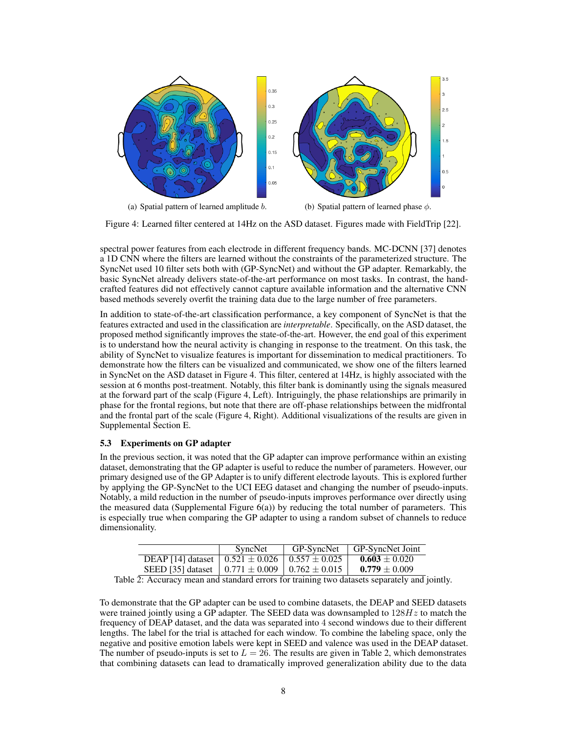

Figure 4: Learned filter centered at 14Hz on the ASD dataset. Figures made with FieldTrip [22].

spectral power features from each electrode in different frequency bands. MC-DCNN [37] denotes a 1D CNN where the filters are learned without the constraints of the parameterized structure. The SyncNet used 10 filter sets both with (GP-SyncNet) and without the GP adapter. Remarkably, the basic SyncNet already delivers state-of-the-art performance on most tasks. In contrast, the handcrafted features did not effectively cannot capture available information and the alternative CNN based methods severely overfit the training data due to the large number of free parameters.

In addition to state-of-the-art classification performance, a key component of SyncNet is that the features extracted and used in the classification are *interpretable*. Specifically, on the ASD dataset, the proposed method significantly improves the state-of-the-art. However, the end goal of this experiment is to understand how the neural activity is changing in response to the treatment. On this task, the ability of SyncNet to visualize features is important for dissemination to medical practitioners. To demonstrate how the filters can be visualized and communicated, we show one of the filters learned in SyncNet on the ASD dataset in Figure 4. This filter, centered at 14Hz, is highly associated with the session at 6 months post-treatment. Notably, this filter bank is dominantly using the signals measured at the forward part of the scalp (Figure 4, Left). Intriguingly, the phase relationships are primarily in phase for the frontal regions, but note that there are off-phase relationships between the midfrontal and the frontal part of the scale (Figure 4, Right). Additional visualizations of the results are given in Supplemental Section E.

#### 5.3 Experiments on GP adapter

In the previous section, it was noted that the GP adapter can improve performance within an existing dataset, demonstrating that the GP adapter is useful to reduce the number of parameters. However, our primary designed use of the GP Adapter is to unify different electrode layouts. This is explored further by applying the GP-SyncNet to the UCI EEG dataset and changing the number of pseudo-inputs. Notably, a mild reduction in the number of pseudo-inputs improves performance over directly using the measured data (Supplemental Figure  $6(a)$ ) by reducing the total number of parameters. This is especially true when comparing the GP adapter to using a random subset of channels to reduce dimensionality.

|                                                             | SyncNet | GP-SyncNet        | GP-SyncNet Joint  |
|-------------------------------------------------------------|---------|-------------------|-------------------|
| DEAP [14] dataset $\, \mid 0.521 \pm 0.026$                 |         | $0.557 \pm 0.025$ | $0.603 \pm 0.020$ |
| SEED [35] dataset $\pm 0.771 \pm 0.009 \pm 0.762 \pm 0.015$ |         |                   | $0.779 \pm 0.009$ |

Table 2: Accuracy mean and standard errors for training two datasets separately and jointly.

To demonstrate that the GP adapter can be used to combine datasets, the DEAP and SEED datasets were trained jointly using a GP adapter. The SEED data was downsampled to 128*Hz* to match the frequency of DEAP dataset, and the data was separated into 4 second windows due to their different lengths. The label for the trial is attached for each window. To combine the labeling space, only the negative and positive emotion labels were kept in SEED and valence was used in the DEAP dataset. The number of pseudo-inputs is set to  $L = 26$ . The results are given in Table 2, which demonstrates that combining datasets can lead to dramatically improved generalization ability due to the data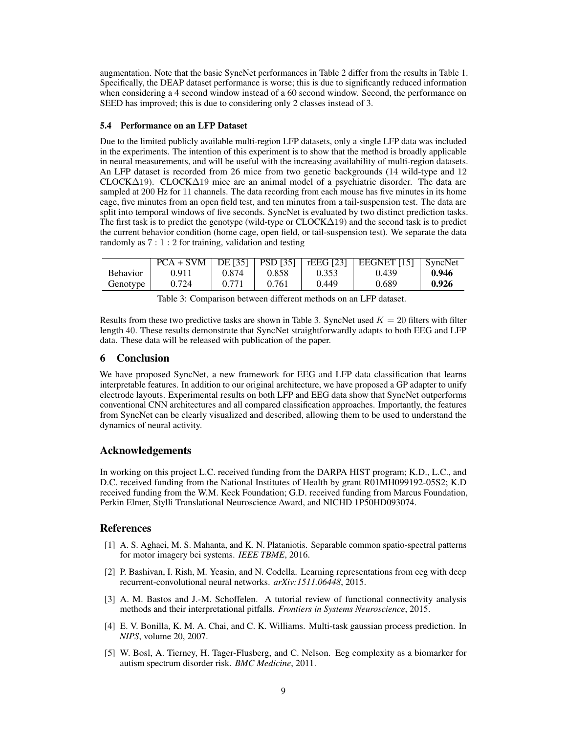augmentation. Note that the basic SyncNet performances in Table 2 differ from the results in Table 1. Specifically, the DEAP dataset performance is worse; this is due to significantly reduced information when considering a 4 second window instead of a 60 second window. Second, the performance on SEED has improved; this is due to considering only 2 classes instead of 3.

#### 5.4 Performance on an LFP Dataset

Due to the limited publicly available multi-region LFP datasets, only a single LFP data was included in the experiments. The intention of this experiment is to show that the method is broadly applicable in neural measurements, and will be useful with the increasing availability of multi-region datasets. An LFP dataset is recorded from 26 mice from two genetic backgrounds (14 wild-type and 12  $CLOCK\Delta19$ . CLOCK $\Delta19$  mice are an animal model of a psychiatric disorder. The data are sampled at 200 Hz for 11 channels. The data recording from each mouse has five minutes in its home cage, five minutes from an open field test, and ten minutes from a tail-suspension test. The data are split into temporal windows of five seconds. SyncNet is evaluated by two distinct prediction tasks. The first task is to predict the genotype (wild-type or  $CLOCK\Delta19$ ) and the second task is to predict the current behavior condition (home cage, open field, or tail-suspension test). We separate the data randomly as  $7:1:2$  for training, validation and testing

|                 | $PCA + SVM   DE [35]   PSD [35]  $ |       |       | $\perp$ rEEG [23] | EEGNET $[15]$ SyncNet |       |
|-----------------|------------------------------------|-------|-------|-------------------|-----------------------|-------|
| <b>Behavior</b> | 0.911                              | 0.874 | 0.858 | 0.353             | 0.439                 | 0.946 |
| Genotype        | 0.724                              | 0.771 | 0.761 | 0.449             | 0.689                 | 0.926 |

Table 3: Comparison between different methods on an LFP dataset.

Results from these two predictive tasks are shown in Table 3. SyncNet used  $K = 20$  filters with filter length 40. These results demonstrate that SyncNet straightforwardly adapts to both EEG and LFP data. These data will be released with publication of the paper.

# 6 Conclusion

We have proposed SyncNet, a new framework for EEG and LFP data classification that learns interpretable features. In addition to our original architecture, we have proposed a GP adapter to unify electrode layouts. Experimental results on both LFP and EEG data show that SyncNet outperforms conventional CNN architectures and all compared classification approaches. Importantly, the features from SyncNet can be clearly visualized and described, allowing them to be used to understand the dynamics of neural activity.

# Acknowledgements

In working on this project L.C. received funding from the DARPA HIST program; K.D., L.C., and D.C. received funding from the National Institutes of Health by grant R01MH099192-05S2; K.D received funding from the W.M. Keck Foundation; G.D. received funding from Marcus Foundation, Perkin Elmer, Stylli Translational Neuroscience Award, and NICHD 1P50HD093074.

# References

- [1] A. S. Aghaei, M. S. Mahanta, and K. N. Plataniotis. Separable common spatio-spectral patterns for motor imagery bci systems. *IEEE TBME*, 2016.
- [2] P. Bashivan, I. Rish, M. Yeasin, and N. Codella. Learning representations from eeg with deep recurrent-convolutional neural networks. *arXiv:1511.06448*, 2015.
- [3] A. M. Bastos and J.-M. Schoffelen. A tutorial review of functional connectivity analysis methods and their interpretational pitfalls. *Frontiers in Systems Neuroscience*, 2015.
- [4] E. V. Bonilla, K. M. A. Chai, and C. K. Williams. Multi-task gaussian process prediction. In *NIPS*, volume 20, 2007.
- [5] W. Bosl, A. Tierney, H. Tager-Flusberg, and C. Nelson. Eeg complexity as a biomarker for autism spectrum disorder risk. *BMC Medicine*, 2011.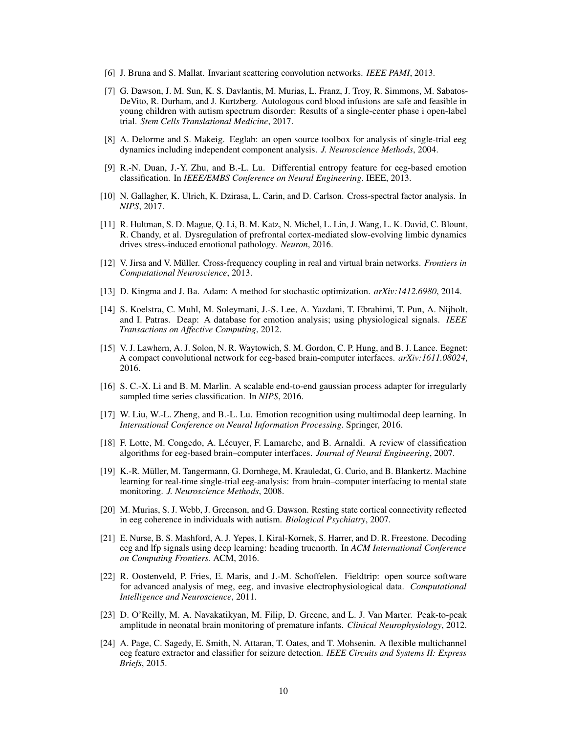- [6] J. Bruna and S. Mallat. Invariant scattering convolution networks. *IEEE PAMI*, 2013.
- [7] G. Dawson, J. M. Sun, K. S. Davlantis, M. Murias, L. Franz, J. Troy, R. Simmons, M. Sabatos-DeVito, R. Durham, and J. Kurtzberg. Autologous cord blood infusions are safe and feasible in young children with autism spectrum disorder: Results of a single-center phase i open-label trial. *Stem Cells Translational Medicine*, 2017.
- [8] A. Delorme and S. Makeig. Eeglab: an open source toolbox for analysis of single-trial eeg dynamics including independent component analysis. *J. Neuroscience Methods*, 2004.
- [9] R.-N. Duan, J.-Y. Zhu, and B.-L. Lu. Differential entropy feature for eeg-based emotion classification. In *IEEE/EMBS Conference on Neural Engineering*. IEEE, 2013.
- [10] N. Gallagher, K. Ulrich, K. Dzirasa, L. Carin, and D. Carlson. Cross-spectral factor analysis. In *NIPS*, 2017.
- [11] R. Hultman, S. D. Mague, Q. Li, B. M. Katz, N. Michel, L. Lin, J. Wang, L. K. David, C. Blount, R. Chandy, et al. Dysregulation of prefrontal cortex-mediated slow-evolving limbic dynamics drives stress-induced emotional pathology. *Neuron*, 2016.
- [12] V. Jirsa and V. Müller. Cross-frequency coupling in real and virtual brain networks. *Frontiers in Computational Neuroscience*, 2013.
- [13] D. Kingma and J. Ba. Adam: A method for stochastic optimization. *arXiv:1412.6980*, 2014.
- [14] S. Koelstra, C. Muhl, M. Soleymani, J.-S. Lee, A. Yazdani, T. Ebrahimi, T. Pun, A. Nijholt, and I. Patras. Deap: A database for emotion analysis; using physiological signals. *IEEE Transactions on Affective Computing*, 2012.
- [15] V. J. Lawhern, A. J. Solon, N. R. Waytowich, S. M. Gordon, C. P. Hung, and B. J. Lance. Eegnet: A compact convolutional network for eeg-based brain-computer interfaces. *arXiv:1611.08024*, 2016.
- [16] S. C.-X. Li and B. M. Marlin. A scalable end-to-end gaussian process adapter for irregularly sampled time series classification. In *NIPS*, 2016.
- [17] W. Liu, W.-L. Zheng, and B.-L. Lu. Emotion recognition using multimodal deep learning. In *International Conference on Neural Information Processing*. Springer, 2016.
- [18] F. Lotte, M. Congedo, A. Lécuyer, F. Lamarche, and B. Arnaldi. A review of classification algorithms for eeg-based brain–computer interfaces. *Journal of Neural Engineering*, 2007.
- [19] K.-R. Müller, M. Tangermann, G. Dornhege, M. Krauledat, G. Curio, and B. Blankertz. Machine learning for real-time single-trial eeg-analysis: from brain–computer interfacing to mental state monitoring. *J. Neuroscience Methods*, 2008.
- [20] M. Murias, S. J. Webb, J. Greenson, and G. Dawson. Resting state cortical connectivity reflected in eeg coherence in individuals with autism. *Biological Psychiatry*, 2007.
- [21] E. Nurse, B. S. Mashford, A. J. Yepes, I. Kiral-Kornek, S. Harrer, and D. R. Freestone. Decoding eeg and lfp signals using deep learning: heading truenorth. In *ACM International Conference on Computing Frontiers*. ACM, 2016.
- [22] R. Oostenveld, P. Fries, E. Maris, and J.-M. Schoffelen. Fieldtrip: open source software for advanced analysis of meg, eeg, and invasive electrophysiological data. *Computational Intelligence and Neuroscience*, 2011.
- [23] D. O'Reilly, M. A. Navakatikyan, M. Filip, D. Greene, and L. J. Van Marter. Peak-to-peak amplitude in neonatal brain monitoring of premature infants. *Clinical Neurophysiology*, 2012.
- [24] A. Page, C. Sagedy, E. Smith, N. Attaran, T. Oates, and T. Mohsenin. A flexible multichannel eeg feature extractor and classifier for seizure detection. *IEEE Circuits and Systems II: Express Briefs*, 2015.